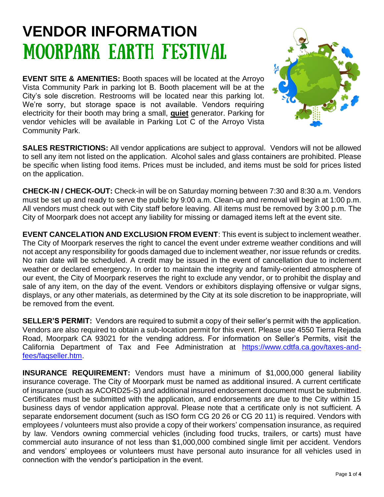## **VENDOR INFORMATION** MOORPARK EARTH FESTIVAL

**EVENT SITE & AMENITIES:** Booth spaces will be located at the Arroyo Vista Community Park in parking lot B. Booth placement will be at the City's sole discretion. Restrooms will be located near this parking lot. We're sorry, but storage space is not available. Vendors requiring electricity for their booth may bring a small, **quiet** generator. Parking for vendor vehicles will be available in Parking Lot C of the Arroyo Vista Community Park.



**SALES RESTRICTIONS:** All vendor applications are subject to approval. Vendors will not be allowed to sell any item not listed on the application. Alcohol sales and glass containers are prohibited. Please be specific when listing food items. Prices must be included, and items must be sold for prices listed on the application.

**CHECK-IN / CHECK-OUT:** Check-in will be on Saturday morning between 7:30 and 8:30 a.m. Vendors must be set up and ready to serve the public by 9:00 a.m. Clean-up and removal will begin at 1:00 p.m. All vendors must check out with City staff before leaving. All items must be removed by 3:00 p.m. The City of Moorpark does not accept any liability for missing or damaged items left at the event site.

**EVENT CANCELATION AND EXCLUSION FROM EVENT**: This event is subject to inclement weather. The City of Moorpark reserves the right to cancel the event under extreme weather conditions and will not accept any responsibility for goods damaged due to inclement weather, nor issue refunds or credits. No rain date will be scheduled. A credit may be issued in the event of cancellation due to inclement weather or declared emergency. In order to maintain the integrity and family-oriented atmosphere of our event, the City of Moorpark reserves the right to exclude any vendor, or to prohibit the display and sale of any item, on the day of the event. Vendors or exhibitors displaying offensive or vulgar signs, displays, or any other materials, as determined by the City at its sole discretion to be inappropriate, will be removed from the event.

**SELLER'S PERMIT:** Vendors are required to submit a copy of their seller's permit with the application. Vendors are also required to obtain a sub-location permit for this event. Please use 4550 Tierra Rejada Road, Moorpark CA 93021 for the vending address. For information on Seller's Permits, visit the California Department of Tax and Fee Administration at [https://www.cdtfa.ca.gov/taxes-and](https://www.cdtfa.ca.gov/taxes-and-fees/faqseller.htm)[fees/faqseller.htm.](https://www.cdtfa.ca.gov/taxes-and-fees/faqseller.htm)

**INSURANCE REQUIREMENT:** Vendors must have a minimum of \$1,000,000 general liability insurance coverage. The City of Moorpark must be named as additional insured. A current certificate of insurance (such as ACORD25-S) and additional insured endorsement document must be submitted. Certificates must be submitted with the application, and endorsements are due to the City within 15 business days of vendor application approval. Please note that a certificate only is not sufficient. A separate endorsement document (such as ISO form CG 20 26 or CG 20 11) is required. Vendors with employees / volunteers must also provide a copy of their workers' compensation insurance, as required by law. Vendors owning commercial vehicles (including food trucks, trailers, or carts) must have commercial auto insurance of not less than \$1,000,000 combined single limit per accident. Vendors and vendors' employees or volunteers must have personal auto insurance for all vehicles used in connection with the vendor's participation in the event.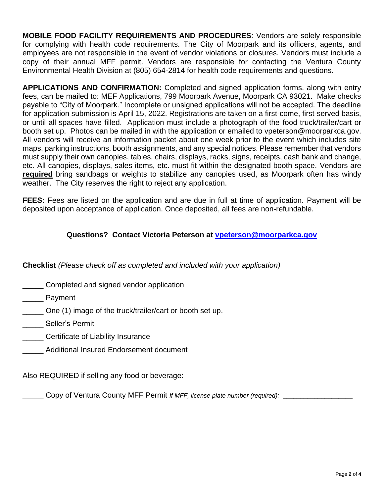**MOBILE FOOD FACILITY REQUIREMENTS AND PROCEDURES**: Vendors are solely responsible for complying with health code requirements. The City of Moorpark and its officers, agents, and employees are not responsible in the event of vendor violations or closures. Vendors must include a copy of their annual MFF permit. Vendors are responsible for contacting the Ventura County Environmental Health Division at (805) 654-2814 for health code requirements and questions.

**APPLICATIONS AND CONFIRMATION:** Completed and signed application forms, along with entry fees, can be mailed to: MEF Applications, 799 Moorpark Avenue, Moorpark CA 93021. Make checks payable to "City of Moorpark." Incomplete or unsigned applications will not be accepted. The deadline for application submission is April 15, 2022. Registrations are taken on a first-come, first-served basis, or until all spaces have filled. Application must include a photograph of the food truck/trailer/cart or booth set up. Photos can be mailed in with the application or emailed to vpeterson@moorparkca.gov. All vendors will receive an information packet about one week prior to the event which includes site maps, parking instructions, booth assignments, and any special notices. Please remember that vendors must supply their own canopies, tables, chairs, displays, racks, signs, receipts, cash bank and change, etc. All canopies, displays, sales items, etc. must fit within the designated booth space. Vendors are **required** bring sandbags or weights to stabilize any canopies used, as Moorpark often has windy weather. The City reserves the right to reject any application.

**FEES:** Fees are listed on the application and are due in full at time of application. Payment will be deposited upon acceptance of application. Once deposited, all fees are non-refundable.

#### **Questions? Contact Victoria Peterson at [vpeterson@moorparkca.gov](mailto:vpeterson@moorparkca.gov)**

**Checklist** *(Please check off as completed and included with your application)*

- \_\_\_\_\_ Completed and signed vendor application
- Payment
- \_\_\_\_\_ One (1) image of the truck/trailer/cart or booth set up.
- \_\_\_\_\_ Seller's Permit
- \_\_\_\_\_ Certificate of Liability Insurance
- \_\_\_\_\_ Additional Insured Endorsement document

Also REQUIRED if selling any food or beverage:

\_\_\_\_\_ Copy of Ventura County MFF Permit *If MFF, license plate number (required):* \_\_\_\_\_\_\_\_\_\_\_\_\_\_\_\_\_\_\_\_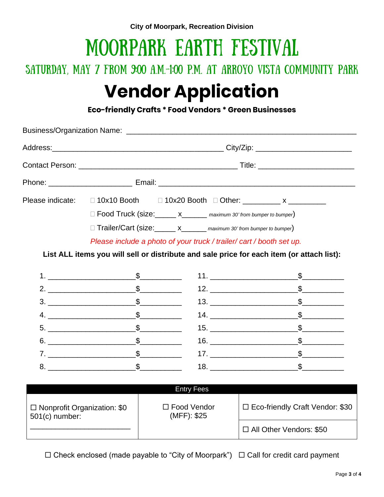# MOORPARK EARTH FESTIVAL

### SATURDAY, MAY 7 FROM 9:00 A.M.-1:00 P.M. AT ARROYO VISTA COMMUNITY PARK

## **Vendor Application**

**Eco-friendly Crafts \* Food Vendors \* Green Businesses**

|  |                                                                                                                                                                                                                                                                                                                        | Please indicate: □ 10x10 Booth □ 10x20 Booth □ Other: __________ x ___________            |                                                                                                                                                                                                                                                                                                                                                                                                                                                                                                                                                                                                                                                                                                                                                                                                                                                                                                                                                                                                  |
|--|------------------------------------------------------------------------------------------------------------------------------------------------------------------------------------------------------------------------------------------------------------------------------------------------------------------------|-------------------------------------------------------------------------------------------|--------------------------------------------------------------------------------------------------------------------------------------------------------------------------------------------------------------------------------------------------------------------------------------------------------------------------------------------------------------------------------------------------------------------------------------------------------------------------------------------------------------------------------------------------------------------------------------------------------------------------------------------------------------------------------------------------------------------------------------------------------------------------------------------------------------------------------------------------------------------------------------------------------------------------------------------------------------------------------------------------|
|  | □ Food Truck (size: x______ x_______ maximum 30' from bumper to bumper)                                                                                                                                                                                                                                                |                                                                                           |                                                                                                                                                                                                                                                                                                                                                                                                                                                                                                                                                                                                                                                                                                                                                                                                                                                                                                                                                                                                  |
|  | □ Trailer/Cart (size: x______ x______ maximum 30' from bumper to bumper)                                                                                                                                                                                                                                               |                                                                                           |                                                                                                                                                                                                                                                                                                                                                                                                                                                                                                                                                                                                                                                                                                                                                                                                                                                                                                                                                                                                  |
|  |                                                                                                                                                                                                                                                                                                                        | Please include a photo of your truck / trailer/ cart / booth set up.                      |                                                                                                                                                                                                                                                                                                                                                                                                                                                                                                                                                                                                                                                                                                                                                                                                                                                                                                                                                                                                  |
|  |                                                                                                                                                                                                                                                                                                                        | List ALL items you will sell or distribute and sale price for each item (or attach list): |                                                                                                                                                                                                                                                                                                                                                                                                                                                                                                                                                                                                                                                                                                                                                                                                                                                                                                                                                                                                  |
|  |                                                                                                                                                                                                                                                                                                                        |                                                                                           |                                                                                                                                                                                                                                                                                                                                                                                                                                                                                                                                                                                                                                                                                                                                                                                                                                                                                                                                                                                                  |
|  | 1. $\frac{1}{2}$ $\frac{1}{2}$ $\frac{1}{2}$ $\frac{1}{2}$ $\frac{1}{2}$ $\frac{1}{2}$ $\frac{1}{2}$ $\frac{1}{2}$ $\frac{1}{2}$ $\frac{1}{2}$ $\frac{1}{2}$ $\frac{1}{2}$ $\frac{1}{2}$ $\frac{1}{2}$ $\frac{1}{2}$ $\frac{1}{2}$ $\frac{1}{2}$ $\frac{1}{2}$ $\frac{1}{2}$ $\frac{1}{2}$ $\frac{1}{2}$ $\frac{1}{2}$ |                                                                                           |                                                                                                                                                                                                                                                                                                                                                                                                                                                                                                                                                                                                                                                                                                                                                                                                                                                                                                                                                                                                  |
|  | 2. $\frac{\ }{2}$                                                                                                                                                                                                                                                                                                      |                                                                                           |                                                                                                                                                                                                                                                                                                                                                                                                                                                                                                                                                                                                                                                                                                                                                                                                                                                                                                                                                                                                  |
|  | $3.$ $\frac{\ }{2}$                                                                                                                                                                                                                                                                                                    |                                                                                           |                                                                                                                                                                                                                                                                                                                                                                                                                                                                                                                                                                                                                                                                                                                                                                                                                                                                                                                                                                                                  |
|  |                                                                                                                                                                                                                                                                                                                        |                                                                                           |                                                                                                                                                                                                                                                                                                                                                                                                                                                                                                                                                                                                                                                                                                                                                                                                                                                                                                                                                                                                  |
|  | $5.$ $\frac{1}{2}$                                                                                                                                                                                                                                                                                                     |                                                                                           |                                                                                                                                                                                                                                                                                                                                                                                                                                                                                                                                                                                                                                                                                                                                                                                                                                                                                                                                                                                                  |
|  | $6.$ $\frac{1}{2}$                                                                                                                                                                                                                                                                                                     |                                                                                           | 11. $\frac{1}{2}$ $\frac{1}{2}$ $\frac{1}{2}$ $\frac{1}{2}$ $\frac{1}{2}$ $\frac{1}{2}$ $\frac{1}{2}$ $\frac{1}{2}$ $\frac{1}{2}$ $\frac{1}{2}$ $\frac{1}{2}$ $\frac{1}{2}$ $\frac{1}{2}$ $\frac{1}{2}$ $\frac{1}{2}$ $\frac{1}{2}$ $\frac{1}{2}$ $\frac{1}{2}$ $\frac{1}{2}$ $\frac{1}{2}$ $\frac{1}{2}$ $\frac{1}{2$<br>13. $\frac{1}{2}$ $\frac{1}{2}$ $\frac{1}{2}$ $\frac{1}{2}$ $\frac{1}{2}$ $\frac{1}{2}$ $\frac{1}{2}$ $\frac{1}{2}$ $\frac{1}{2}$ $\frac{1}{2}$ $\frac{1}{2}$ $\frac{1}{2}$ $\frac{1}{2}$ $\frac{1}{2}$ $\frac{1}{2}$ $\frac{1}{2}$ $\frac{1}{2}$ $\frac{1}{2}$ $\frac{1}{2}$ $\frac{1}{2}$ $\frac{1}{2}$ $\frac{1}{2$<br>14. $\frac{\ }{2}$<br>15. $\frac{1}{2}$ $\frac{1}{2}$ $\frac{1}{2}$ $\frac{1}{2}$ $\frac{1}{2}$ $\frac{1}{2}$ $\frac{1}{2}$ $\frac{1}{2}$ $\frac{1}{2}$ $\frac{1}{2}$ $\frac{1}{2}$ $\frac{1}{2}$ $\frac{1}{2}$ $\frac{1}{2}$ $\frac{1}{2}$ $\frac{1}{2}$ $\frac{1}{2}$ $\frac{1}{2}$ $\frac{1}{2}$ $\frac{1}{2}$ $\frac{1}{2}$ $\frac{1}{2$ |
|  | $7.$ $\frac{1}{2}$                                                                                                                                                                                                                                                                                                     |                                                                                           |                                                                                                                                                                                                                                                                                                                                                                                                                                                                                                                                                                                                                                                                                                                                                                                                                                                                                                                                                                                                  |

|                                                        | <b>Entry Fees</b>                 |                                   |
|--------------------------------------------------------|-----------------------------------|-----------------------------------|
| $\Box$ Nonprofit Organization: \$0<br>$501(c)$ number: | $\Box$ Food Vendor<br>(MFF): \$25 | □ Eco-friendly Craft Vendor: \$30 |
|                                                        |                                   | □ All Other Vendors: \$50         |

 $\Box$  Check enclosed (made payable to "City of Moorpark")  $\Box$  Call for credit card payment